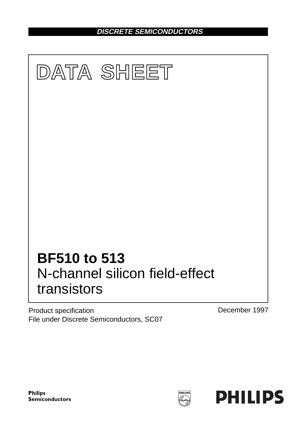**DISCRETE SEMICONDUCTORS**



Product specification File under Discrete Semiconductors, SC07 December 1997



**HILIP**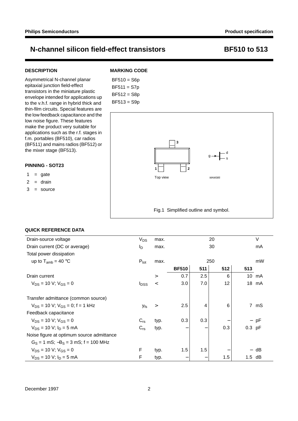## **DESCRIPTION**

Asymmetrical N-channel planar epitaxial junction field-effect transistors in the miniature plastic envelope intended for applications up to the v.h.f. range in hybrid thick and thin-film circuits. Special features are the low feedback capacitance and the low noise figure. These features make the product very suitable for applications such as the r.f. stages in f.m. portables (BF510), car radios (BF511) and mains radios (BF512) or the mixer stage (BF513).

### **PINNING - SOT23**

- $1 = gate$
- $2 = \text{drain}$
- $3 =$ source

## **MARKING CODE**

BF510 = S6p BF511 = S7p BF512 = S8p BF513 = S9p



## **QUICK REFERENCE DATA**

| Drain-source voltage                      | <b>V<sub>DS</sub></b>   | max.     | 20           |     |     | V               |        |
|-------------------------------------------|-------------------------|----------|--------------|-----|-----|-----------------|--------|
| Drain current (DC or average)             | ΙD                      | max.     |              |     | 30  |                 | mA     |
| Total power dissipation                   |                         |          |              |     |     |                 |        |
| up to $T_{amb} = 40 °C$                   | $P_{\text{tot}}$        | max.     | 250          |     |     | mW              |        |
|                                           |                         |          | <b>BF510</b> | 511 | 512 | 513             |        |
| Drain current                             |                         | $\rm{>}$ | 0.7          | 2.5 | 6   | 10 <sup>°</sup> | mA     |
| $V_{DS} = 10 V$ ; $V_{GS} = 0$            | <b>I</b> <sub>DSS</sub> | $\,<$    | 3.0          | 7.0 | 12  |                 | 18 mA  |
| Transfer admittance (common source)       |                         |          |              |     |     |                 |        |
| $V_{DS}$ = 10 V; $V_{GS}$ = 0; f = 1 kHz  | $ y_{fs} $              | $\geq$   | 2.5          | 4   | 6   |                 | 7 mS   |
| Feedback capacitance                      |                         |          |              |     |     |                 |        |
| $V_{DS}$ = 10 V; $V_{GS}$ = 0             | $C_{rs}$                | typ.     | 0.3          | 0.3 |     |                 | $-$ pF |
| $V_{DS}$ = 10 V: $I_D$ = 5 mA             | $C_{rs}$                | typ.     |              |     | 0.3 | $0.3$ pF        |        |
| Noise figure at optimum source admittance |                         |          |              |     |     |                 |        |
| $G_S = 1$ mS; $-B_S = 3$ mS; f = 100 MHz  |                         |          |              |     |     |                 |        |
| $V_{DS}$ = 10 V; $V_{GS}$ = 0             | F                       | typ.     | 1.5          | 1.5 |     |                 | dB     |
| $V_{DS}$ = 10 V; $I_D$ = 5 mA             | F                       | typ.     |              |     | 1.5 | 1.5             | dB     |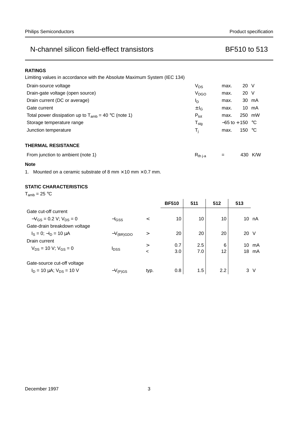| Limiting values in accordance with the Absolute Maximum System (IEC 134) |                  |                    |                 |        |
|--------------------------------------------------------------------------|------------------|--------------------|-----------------|--------|
| Drain-source voltage                                                     | $V_{DS}$         | max.               | 20 V            |        |
| Drain-gate voltage (open source)                                         | V <sub>DGO</sub> | max.               | 20 V            |        |
| Drain current (DC or average)                                            | ΙD               | max.               |                 | 30 mA  |
| Gate current                                                             | $\pm I_G$        | max.               |                 | 10 mA  |
| Total power dissipation up to $T_{amb}$ = 40 °C (note 1)                 | $P_{\text{tot}}$ | max.               |                 | 250 mW |
| Storage temperature range                                                | $T_{\text{stq}}$ | $-65$ to $+150$ °C |                 |        |
| Junction temperature                                                     | T <sub>i</sub>   | max.               | 150 $\degree$ C |        |
| <b>THERMAL RESISTANCE</b>                                                |                  |                    |                 |        |
| From junction to ambient (note 1)                                        | $R_{th i-a}$     | =                  | 430             | K/W    |

### **Note**

1. Mounted on a ceramic substrate of 8 mm  $\times$  10 mm  $\times$  0.7 mm.

## **STATIC CHARACTERISTICS**

 $T_{amb} = 25 °C$ 

|                                                                   |                         |                   | <b>BF510</b> | 511        | 512     | 513      |          |
|-------------------------------------------------------------------|-------------------------|-------------------|--------------|------------|---------|----------|----------|
| Gate cut-off current                                              |                         |                   |              |            |         |          |          |
| $-V_{GS}$ = 0.2 V; V <sub>DS</sub> = 0                            | $-$ <sub>GSS</sub>      | $\,<\,$           | 10           | 10         | 10      | 10       | nA       |
| Gate-drain breakdown voltage                                      |                         |                   |              |            |         |          |          |
| $I_S = 0$ ; $-I_D = 10 \mu A$                                     | $-V_{\rm (BR)GDO}$      | $\gt$             | 20           | 20         | 20      | 20 V     |          |
| Drain current<br>$V_{DS}$ = 10 V; $V_{GS}$ = 0                    | <b>I</b> <sub>DSS</sub> | $\geq$<br>$\,<\,$ | 0.7<br>3.0   | 2.5<br>7.0 | 6<br>12 | 10<br>18 | mA<br>mA |
| Gate-source cut-off voltage<br>$I_D = 10 \mu A$ ; $V_{DS} = 10 V$ | $-V_{(P)GS}$            | typ.              | 0.8          | 1.5        | 2.2     | 3 V      |          |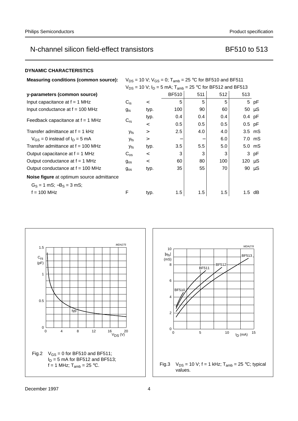| DYNAMIC CHARACTERISTICS |
|-------------------------|
|                         |

| <b>Measuring conditions (common source):</b> | $V_{DS}$ = 10 V; $V_{GS}$ = 0; T <sub>amb</sub> = 25 °C for BF510 and BF511 |         |                                                                      |     |     |             |            |
|----------------------------------------------|-----------------------------------------------------------------------------|---------|----------------------------------------------------------------------|-----|-----|-------------|------------|
|                                              |                                                                             |         | $V_{DS}$ = 10 V; $I_D$ = 5 mA; $T_{amb}$ = 25 °C for BF512 and BF513 |     |     |             |            |
| y-parameters (common source)                 |                                                                             |         | <b>BF510</b>                                                         | 511 | 512 | 513         |            |
| Input capacitance at $f = 1$ MHz             | $C_{\text{is}}$                                                             | $\,<\,$ | 5                                                                    | 5   | 5   |             | 5 pF       |
| Input conductance at $f = 100$ MHz           | $g_{is}$                                                                    | typ.    | 100                                                                  | 90  | 60  |             | 50 $\mu$ S |
| Feedback capacitance at $f = 1$ MHz          |                                                                             | typ.    | 0.4                                                                  | 0.4 | 0.4 | $0.4$ pF    |            |
|                                              | $C_{rs}$                                                                    | $\,<\,$ | 0.5                                                                  | 0.5 | 0.5 |             | $0.5$ pF   |
| Transfer admittance at $f = 1$ kHz           | $ y_{\text{fs}} $                                                           | $\geq$  | 2.5                                                                  | 4.0 | 4.0 |             | $3.5$ mS   |
| $V_{GS} = 0$ instead of $I_D = 5$ mA         | $ y_{fs} $                                                                  | $\geq$  |                                                                      |     | 6.0 |             | 7.0 mS     |
| Transfer admittance at $f = 100$ MHz         | $ y_{\text{fs}} $                                                           | typ.    | 3.5                                                                  | 5.5 | 5.0 |             | 5.0 mS     |
| Output capacitance at $f = 1$ MHz            | $C_{os}$                                                                    | $\,<\,$ | 3                                                                    | 3   | 3   |             | 3 pF       |
| Output conductance at $f = 1$ MHz            | $g_{\rm os}$                                                                | $\,<\,$ | 60                                                                   | 80  | 100 | 120 $\mu$ S |            |
| Output conductance at $f = 100$ MHz          | $g_{os}$                                                                    | typ.    | 35                                                                   | 55  | 70  |             | 90 $\mu$ S |
| Noise figure at optimum source admittance    |                                                                             |         |                                                                      |     |     |             |            |
| $G_S = 1$ mS; $-B_S = 3$ mS;                 |                                                                             |         |                                                                      |     |     |             |            |
| $f = 100$ MHz                                | F                                                                           | typ.    | 1.5                                                                  | 1.5 | 1.5 |             | $1.5$ dB   |



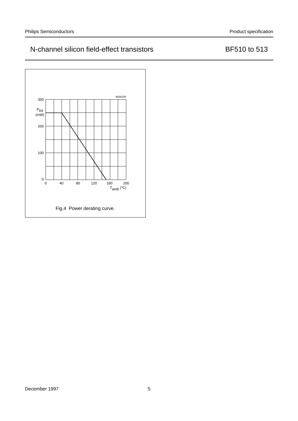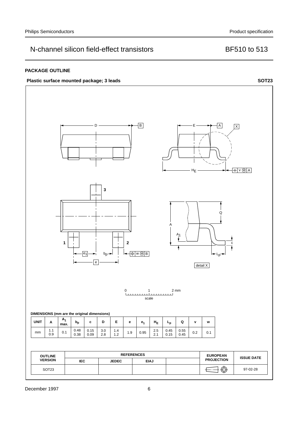## **PACKAGE OUTLINE**